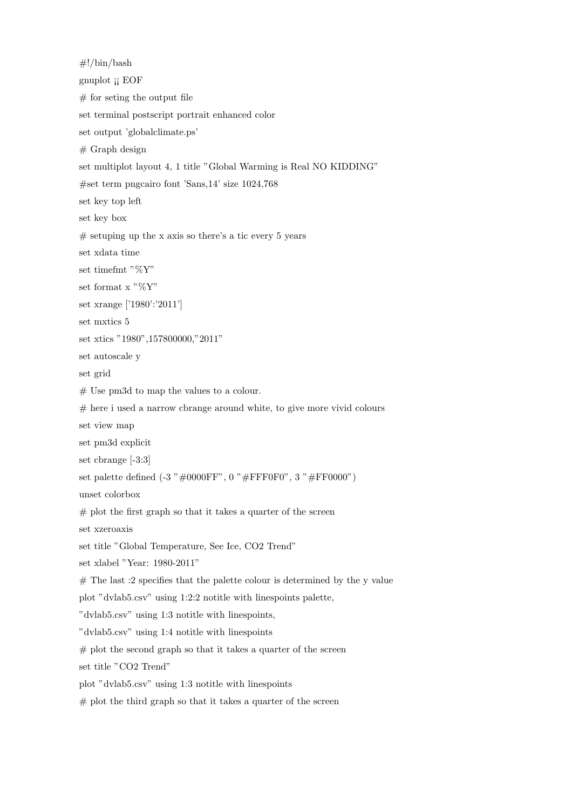#!/bin/bash gnuplot ¡¡ EOF  $#$  for seting the output file set terminal postscript portrait enhanced color set output 'globalclimate.ps'  $#$  Graph design set multiplot layout 4, 1 title "Global Warming is Real NO KIDDING" #set term pngcairo font 'Sans,14' size 1024,768 set key top left set key box  $#$  setuping up the x axis so there's a tic every 5 years set xdata time set timefmt "%Y" set format x " $\%\text{Y}$ " set xrange ['1980':'2011'] set mxtics 5 set xtics "1980",157800000,"2011" set autoscale y set grid # Use pm3d to map the values to a colour.  $#$  here i used a narrow cbrange around white, to give more vivid colours set view map set pm3d explicit set cbrange [-3:3] set palette defined  $(-3 \t{''} \#0000FF$ ,  $0 \t{''} \#FF000", 3 \t{''} \#FF0000"$ unset colorbox  $#$  plot the first graph so that it takes a quarter of the screen set xzeroaxis set title "Global Temperature, See Ice, CO2 Trend" set xlabel "Year: 1980-2011"  $#$  The last :2 specifies that the palette colour is determined by the y value plot "dvlab5.csv" using 1:2:2 notitle with linespoints palette, "dvlab5.csv" using 1:3 notitle with linespoints, "dvlab5.csv" using 1:4 notitle with linespoints  $#$  plot the second graph so that it takes a quarter of the screen set title "CO2 Trend" plot "dvlab5.csv" using 1:3 notitle with linespoints  $#$  plot the third graph so that it takes a quarter of the screen